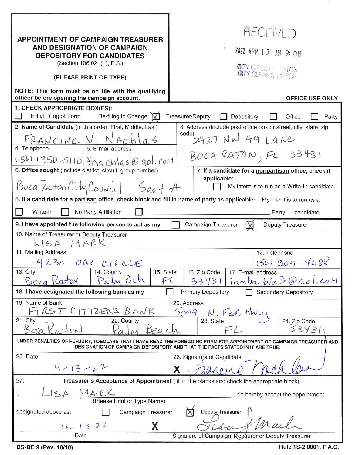| <b>APPOINTMENT OF CAMPAIGN TREASURER</b><br>AND DESIGNATION OF CAMPAIGN<br><b>DEPOSITORY FOR CANDIDATES</b><br>(Section 106.021(1), F.S.)<br>(PLEASE PRINT OR TYPE)<br>NOTE: This form must be on file with the qualifying<br>officer before opening the campaign account.<br>1. CHECK APPROPRIATE BOX(ES): | <b>AHCENEL</b><br>2022 APR 13 AM 9:08<br><b>GITY OF BUSH REATON</b><br><b>OFFICE USE ONLY</b>                                                                         |
|-------------------------------------------------------------------------------------------------------------------------------------------------------------------------------------------------------------------------------------------------------------------------------------------------------------|-----------------------------------------------------------------------------------------------------------------------------------------------------------------------|
| Initial Filing of Form<br>Re-filing to Change: X                                                                                                                                                                                                                                                            | Treasurer/Deputy<br>Depository<br>Party<br>Office                                                                                                                     |
| 2. Name of Candidate (in this order: First, Middle, Last)                                                                                                                                                                                                                                                   | 3. Address (include post office box or street, city, state, zip                                                                                                       |
| $\underline{\mathcal{P}}$ ANC(NC V. NACV)<br>4. Telephone<br>$(561)$ 350-5110 Frachlas@gol.com<br>6. Office sought (include district, circuit, group number)<br>Boca Raton City Council Seat A                                                                                                              | $1000$ 2427 NW 49 Lane<br>BOCA RATON, FL 33431<br>7. If a candidate for a nonpartisan office, check if<br>applicable:<br>My intent is to run as a Write-In candidate. |
| 8. If a candidate for a partisan office, check block and fill in name of party as applicable:                                                                                                                                                                                                               |                                                                                                                                                                       |
|                                                                                                                                                                                                                                                                                                             | My intent is to run as a                                                                                                                                              |
| Write-In<br>No Party Affiliation                                                                                                                                                                                                                                                                            | candidate.<br>Party                                                                                                                                                   |
| 9. I have appointed the following person to act as my<br>Campaign Treasurer<br>Deputy Treasurer<br>10. Name of Treasurer or Deputy Treasurer<br>-ISA MARK<br>11. Mailing Address<br>12. Telephone                                                                                                           |                                                                                                                                                                       |
| 4230 OAK CIRCLE<br>13. City<br>14. County<br>15. State<br>Palm Bch<br>F1<br>Boca Katon                                                                                                                                                                                                                      | 1541 305 - 4688<br>16. Zip Code<br>17. E-mail address<br>jambarbie 3@ aol.com<br>334311                                                                               |
| 18. I have designated the following bank as my<br><b>Primary Depository</b><br><b>Secondary Depository</b>                                                                                                                                                                                                  |                                                                                                                                                                       |
| 19. Name of Bank<br>RST CITIZENS BANK<br>21. City<br>22. County<br>$B_{00}$<br>Beac                                                                                                                                                                                                                         | 20. Address<br>5099<br>N. Fed, thru<br>24. Zip Code<br>23. State<br>33431                                                                                             |
| UNDER PENALTIES OF PERJURY, I DECLARE THAT I HAVE READ THE FOREGOING FORM FOR APPOINTMENT OF CAMPAIGN TREASURER AND<br>DESIGNATION OF CAMPAIGN DEPOSITORY AND THAT THE FACTS STATED IN IT ARE TRUE.                                                                                                         |                                                                                                                                                                       |
| 25. Date<br>$4 - 13 - 22$                                                                                                                                                                                                                                                                                   | 26. Signature of Candidate                                                                                                                                            |
| 27.<br>Treasurer's Acceptance of Appointment (fill in the blanks and check the appropriate block)                                                                                                                                                                                                           |                                                                                                                                                                       |
| TARK<br>$\leq \Delta$<br>(Please Print or Type Name)<br>designated above as:<br>Campaign Treasurer                                                                                                                                                                                                          | do hereby accept the appointment<br>Deputy Treasurer.                                                                                                                 |
| $4 - 13 - 22$<br>X<br>Date                                                                                                                                                                                                                                                                                  | Signature of Campaign Treasurer or Deputy Treasurer                                                                                                                   |
| DS-DE 9 (Rev. 10/10)                                                                                                                                                                                                                                                                                        | Rule 1S-2.0001, F.A.C.                                                                                                                                                |